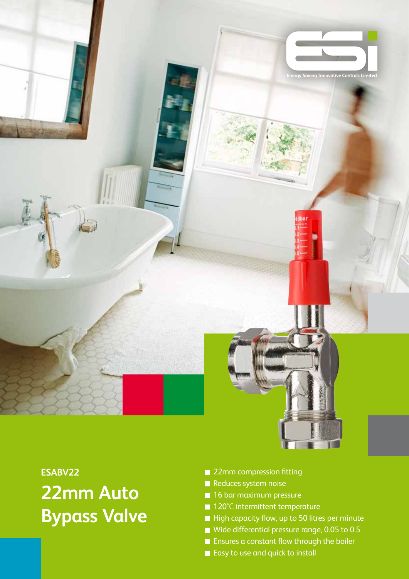

## **ESABV22 22mm Auto Bypass Valve**

- 22mm compression fitting
- Reduces system noise
- **16 bar maximum pressure**
- 120°C intermittent temperature
- High capacity flow, up to 50 litres per minute
- Wide differential pressure range, 0.05 to 0.5
- **Ensures a constant flow through the boiler**
- Easy to use and quick to install